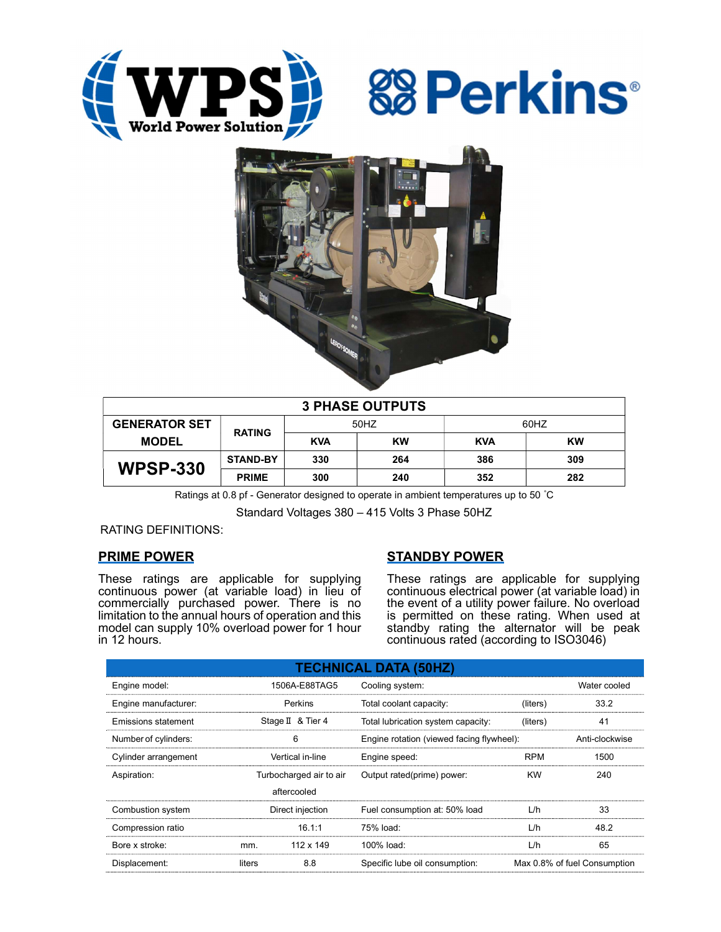





| <b>3 PHASE OUTPUTS</b> |                 |            |           |            |     |  |  |
|------------------------|-----------------|------------|-----------|------------|-----|--|--|
| <b>GENERATOR SET</b>   | <b>RATING</b>   | 50HZ       |           | 60HZ       |     |  |  |
| <b>MODEL</b>           |                 | <b>KVA</b> | <b>KW</b> | <b>KVA</b> | KW  |  |  |
| <b>WPSP-330</b>        | <b>STAND-BY</b> | 330        | 264       | 386        | 309 |  |  |
|                        | <b>PRIME</b>    | 300        | 240       | 352        | 282 |  |  |

Ratings at 0.8 pf - Generator designed to operate in ambient temperatures up to 50 °C

Standard Voltages 380 – 415 Volts 3 Phase 50HZ

RATING DEFINITIONS:

## PRIME POWER

These ratings are applicable for supplying continuous power (at variable load) in lieu of commercially purchased power. There is no limitation to the annual hours of operation and this model can supply 10% overload power for 1 hour in 12 hours.

# STANDBY POWER

These ratings are applicable for supplying continuous electrical power (at variable load) in the event of a utility power failure. No overload is permitted on these rating. When used at standby rating the alternator will be peak continuous rated (according to ISO3046)

| <b>TECHNICAL DATA (50HZ)</b> |                         |             |                                           |                              |                |  |  |
|------------------------------|-------------------------|-------------|-------------------------------------------|------------------------------|----------------|--|--|
| Engine model:                | 1506A-E88TAG5           |             | Cooling system:                           | Water cooled                 |                |  |  |
| Engine manufacturer:         | Perkins                 |             | Total coolant capacity:                   | (liters)                     | 33.2           |  |  |
| <b>Emissions statement</b>   | Stage II & Tier 4       |             | Total lubrication system capacity:        | (liters)                     | 41             |  |  |
| Number of cylinders:         | 6                       |             | Engine rotation (viewed facing flywheel): |                              | Anti-clockwise |  |  |
| Cylinder arrangement         | Vertical in-line        |             | Engine speed:                             | <b>RPM</b>                   | 1500           |  |  |
| Aspiration:                  | Turbocharged air to air |             | Output rated(prime) power:                | <b>KW</b>                    | 240            |  |  |
|                              |                         | aftercooled |                                           |                              |                |  |  |
| Combustion system            | Direct injection        |             | Fuel consumption at: 50% load             | L/h                          | 33             |  |  |
| Compression ratio            |                         | 16.1:1      | 75% load:                                 | L/h                          | 48.2           |  |  |
| Bore x stroke:               | mm.                     | 112 x 149   | 100% load:                                | L/h                          | 65             |  |  |
| Displacement:                | 8.8<br>liters           |             | Specific lube oil consumption:            | Max 0.8% of fuel Consumption |                |  |  |